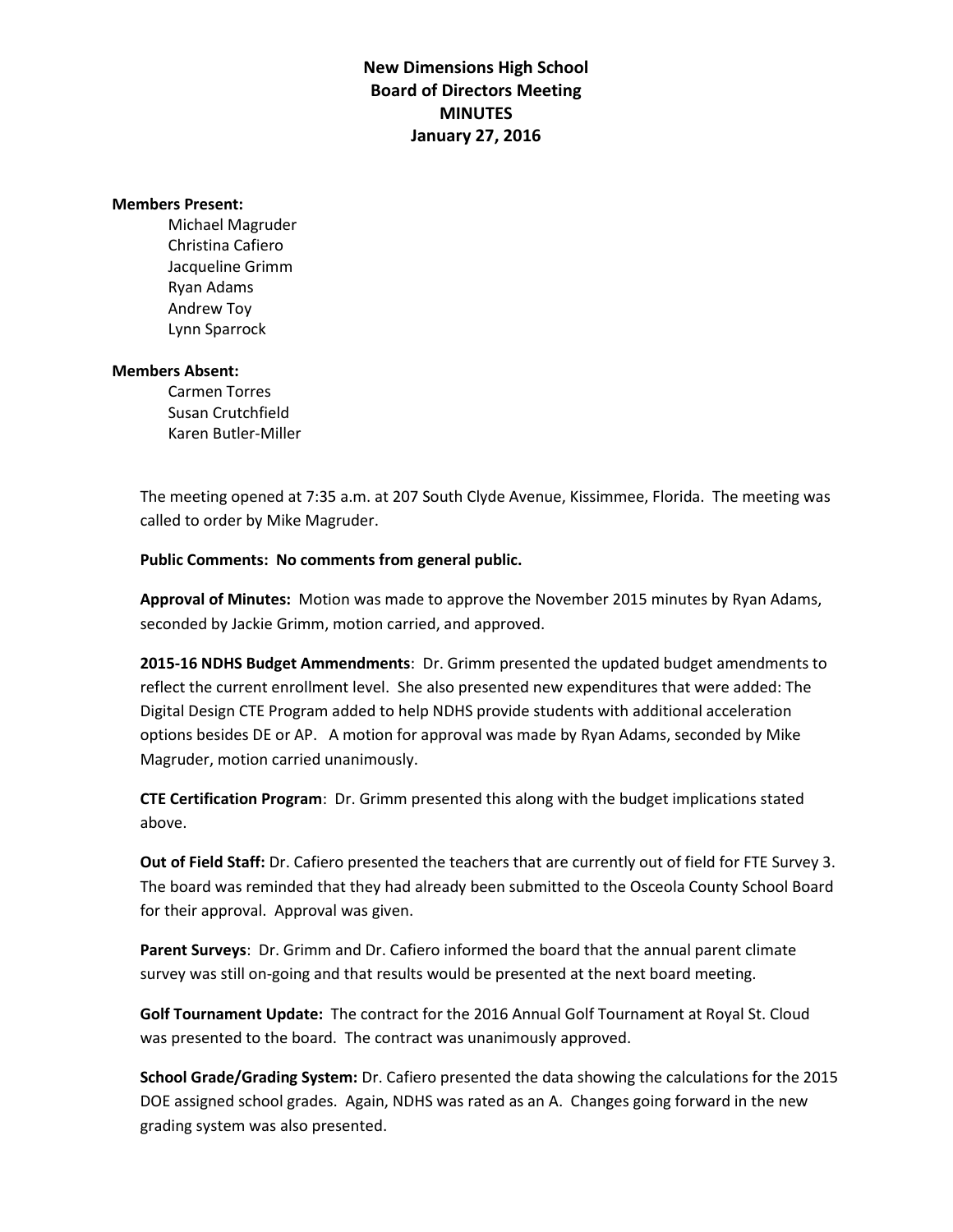**New Dimensions High School Board of Directors Meeting MINUTES January 27, 2016**

## **Members Present:**

Michael Magruder Christina Cafiero Jacqueline Grimm Ryan Adams Andrew Toy Lynn Sparrock

## **Members Absent:**

Carmen Torres Susan Crutchfield Karen Butler-Miller

The meeting opened at 7:35 a.m. at 207 South Clyde Avenue, Kissimmee, Florida. The meeting was called to order by Mike Magruder.

## **Public Comments: No comments from general public.**

**Approval of Minutes:** Motion was made to approve the November 2015 minutes by Ryan Adams, seconded by Jackie Grimm, motion carried, and approved.

**2015-16 NDHS Budget Ammendments**: Dr. Grimm presented the updated budget amendments to reflect the current enrollment level. She also presented new expenditures that were added: The Digital Design CTE Program added to help NDHS provide students with additional acceleration options besides DE or AP. A motion for approval was made by Ryan Adams, seconded by Mike Magruder, motion carried unanimously.

**CTE Certification Program**: Dr. Grimm presented this along with the budget implications stated above.

**Out of Field Staff:** Dr. Cafiero presented the teachers that are currently out of field for FTE Survey 3. The board was reminded that they had already been submitted to the Osceola County School Board for their approval. Approval was given.

**Parent Surveys**: Dr. Grimm and Dr. Cafiero informed the board that the annual parent climate survey was still on-going and that results would be presented at the next board meeting.

**Golf Tournament Update:** The contract for the 2016 Annual Golf Tournament at Royal St. Cloud was presented to the board. The contract was unanimously approved.

**School Grade/Grading System:** Dr. Cafiero presented the data showing the calculations for the 2015 DOE assigned school grades. Again, NDHS was rated as an A. Changes going forward in the new grading system was also presented.